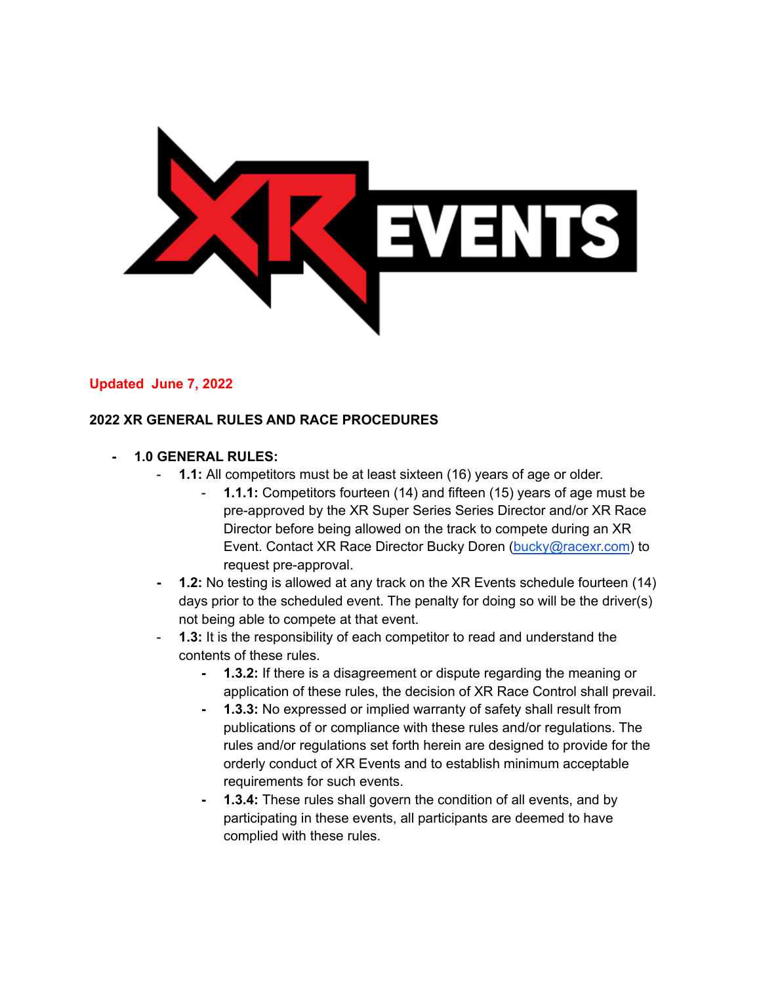

#### **Updated June 7, 2022**

#### **2022 XR GENERAL RULES AND RACE PROCEDURES**

#### **- 1.0 GENERAL RULES:**

- **1.1:** All competitors must be at least sixteen (16) years of age or older.
	- **1.1.1:** Competitors fourteen (14) and fifteen (15) years of age must be pre-approved by the XR Super Series Series Director and/or XR Race Director before being allowed on the track to compete during an XR Event. Contact XR Race Director Bucky Doren [\(bucky@racexr.com\)](mailto:bucky@racexr.com) to request pre-approval.
- **- 1.2:** No testing is allowed at any track on the XR Events schedule fourteen (14) days prior to the scheduled event. The penalty for doing so will be the driver(s) not being able to compete at that event.
- **1.3:** It is the responsibility of each competitor to read and understand the contents of these rules.
	- **- 1.3.2:** If there is a disagreement or dispute regarding the meaning or application of these rules, the decision of XR Race Control shall prevail.
	- **- 1.3.3:** No expressed or implied warranty of safety shall result from publications of or compliance with these rules and/or regulations. The rules and/or regulations set forth herein are designed to provide for the orderly conduct of XR Events and to establish minimum acceptable requirements for such events.
	- **- 1.3.4:** These rules shall govern the condition of all events, and by participating in these events, all participants are deemed to have complied with these rules.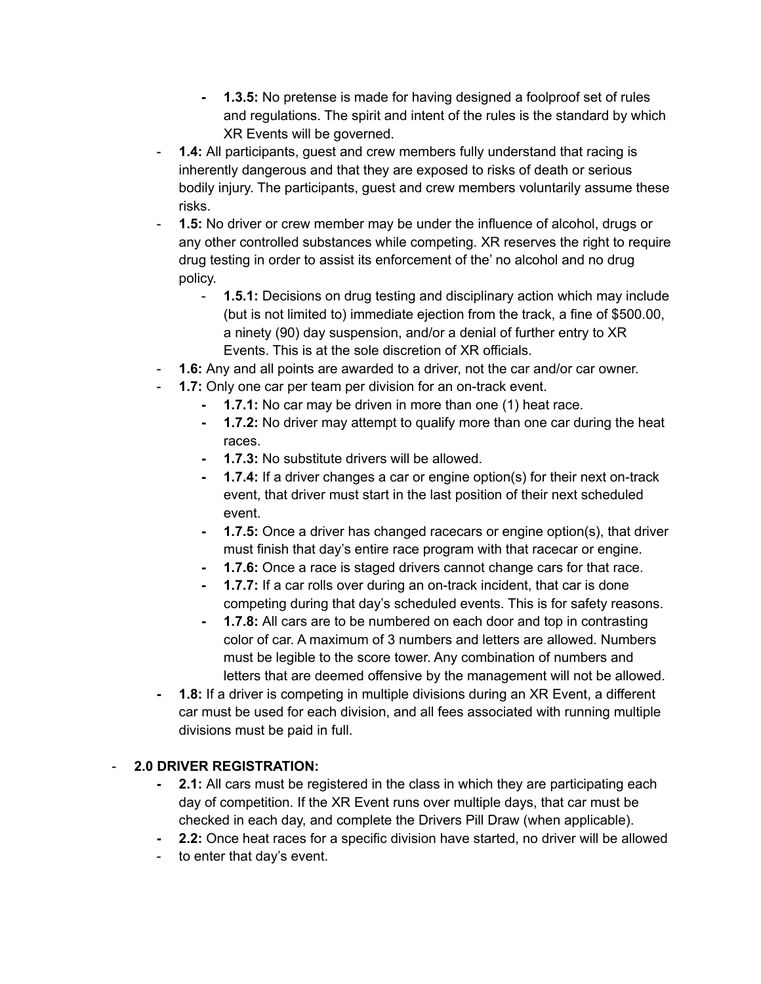- **- 1.3.5:** No pretense is made for having designed a foolproof set of rules and regulations. The spirit and intent of the rules is the standard by which XR Events will be governed.
- **1.4:** All participants, guest and crew members fully understand that racing is inherently dangerous and that they are exposed to risks of death or serious bodily injury. The participants, guest and crew members voluntarily assume these risks.
- **1.5:** No driver or crew member may be under the influence of alcohol, drugs or any other controlled substances while competing. XR reserves the right to require drug testing in order to assist its enforcement of the' no alcohol and no drug policy.
	- **1.5.1:** Decisions on drug testing and disciplinary action which may include (but is not limited to) immediate ejection from the track, a fine of \$500.00, a ninety (90) day suspension, and/or a denial of further entry to XR Events. This is at the sole discretion of XR officials.
- **1.6:** Any and all points are awarded to a driver, not the car and/or car owner.
- **1.7:** Only one car per team per division for an on-track event.
	- **- 1.7.1:** No car may be driven in more than one (1) heat race.
		- **- 1.7.2:** No driver may attempt to qualify more than one car during the heat races.
		- **- 1.7.3:** No substitute drivers will be allowed.
		- **- 1.7.4:** If a driver changes a car or engine option(s) for their next on-track event, that driver must start in the last position of their next scheduled event.
		- **- 1.7.5:** Once a driver has changed racecars or engine option(s), that driver must finish that day's entire race program with that racecar or engine.
		- **- 1.7.6:** Once a race is staged drivers cannot change cars for that race.
		- **- 1.7.7:** If a car rolls over during an on-track incident, that car is done competing during that day's scheduled events. This is for safety reasons.
	- **- 1.7.8:** All cars are to be numbered on each door and top in contrasting color of car. A maximum of 3 numbers and letters are allowed. Numbers must be legible to the score tower. Any combination of numbers and letters that are deemed offensive by the management will not be allowed.
- **- 1.8:** If a driver is competing in multiple divisions during an XR Event, a different car must be used for each division, and all fees associated with running multiple divisions must be paid in full.

## - **2.0 DRIVER REGISTRATION:**

- **2.1:** All cars must be registered in the class in which they are participating each day of competition. If the XR Event runs over multiple days, that car must be checked in each day, and complete the Drivers Pill Draw (when applicable).
- **- 2.2:** Once heat races for a specific division have started, no driver will be allowed
- to enter that day's event.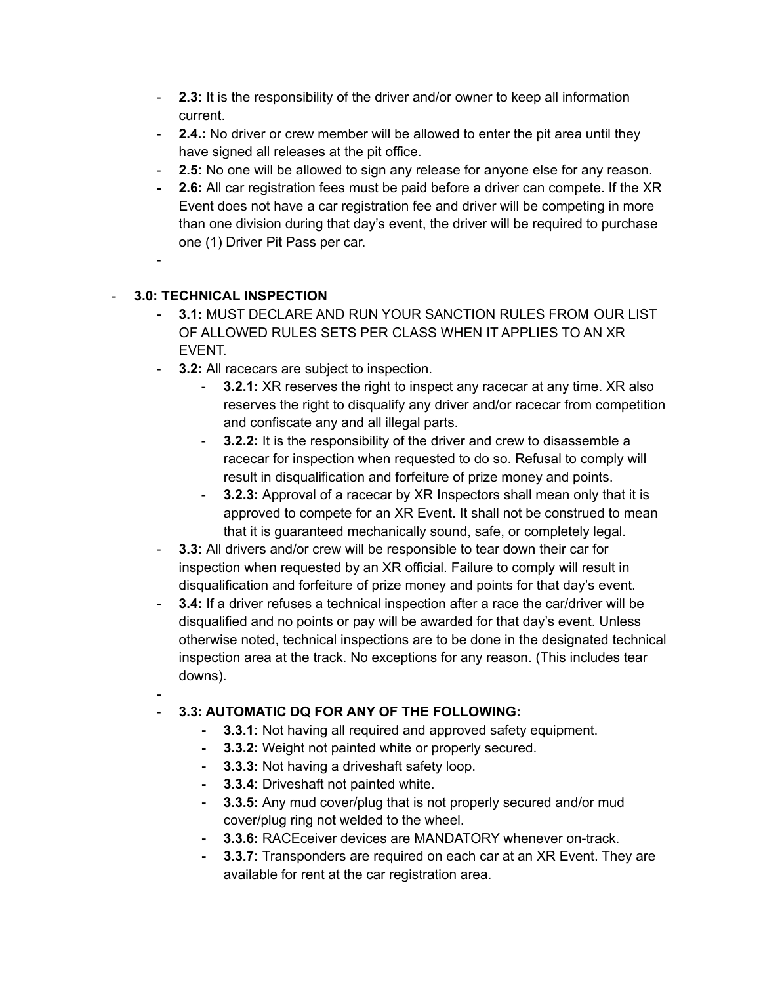- **2.3:** It is the responsibility of the driver and/or owner to keep all information current.
- **2.4.:** No driver or crew member will be allowed to enter the pit area until they have signed all releases at the pit office.
- **2.5:** No one will be allowed to sign any release for anyone else for any reason.
- **- 2.6:** All car registration fees must be paid before a driver can compete. If the XR Event does not have a car registration fee and driver will be competing in more than one division during that day's event, the driver will be required to purchase one (1) Driver Pit Pass per car.
- -

## - **3.0: TECHNICAL INSPECTION**

- **- 3.1:** MUST DECLARE AND RUN YOUR SANCTION RULES FROM OUR LIST OF ALLOWED RULES SETS PER CLASS WHEN IT APPLIES TO AN XR EVENT.
- **3.2:** All racecars are subject to inspection.
	- **3.2.1:** XR reserves the right to inspect any racecar at any time. XR also reserves the right to disqualify any driver and/or racecar from competition and confiscate any and all illegal parts.
	- **3.2.2:** It is the responsibility of the driver and crew to disassemble a racecar for inspection when requested to do so. Refusal to comply will result in disqualification and forfeiture of prize money and points.
	- **3.2.3:** Approval of a racecar by XR Inspectors shall mean only that it is approved to compete for an XR Event. It shall not be construed to mean that it is guaranteed mechanically sound, safe, or completely legal.
- **3.3:** All drivers and/or crew will be responsible to tear down their car for inspection when requested by an XR official. Failure to comply will result in disqualification and forfeiture of prize money and points for that day's event.
- **- 3.4:** If a driver refuses a technical inspection after a race the car/driver will be disqualified and no points or pay will be awarded for that day's event. Unless otherwise noted, technical inspections are to be done in the designated technical inspection area at the track. No exceptions for any reason. (This includes tear downs).
- **-**

## - **3.3: AUTOMATIC DQ FOR ANY OF THE FOLLOWING:**

- **- 3.3.1:** Not having all required and approved safety equipment.
- **- 3.3.2:** Weight not painted white or properly secured.
- **- 3.3.3:** Not having a driveshaft safety loop.
- **- 3.3.4:** Driveshaft not painted white.
- **- 3.3.5:** Any mud cover/plug that is not properly secured and/or mud cover/plug ring not welded to the wheel.
- **- 3.3.6:** RACEceiver devices are MANDATORY whenever on-track.
- **- 3.3.7:** Transponders are required on each car at an XR Event. They are available for rent at the car registration area.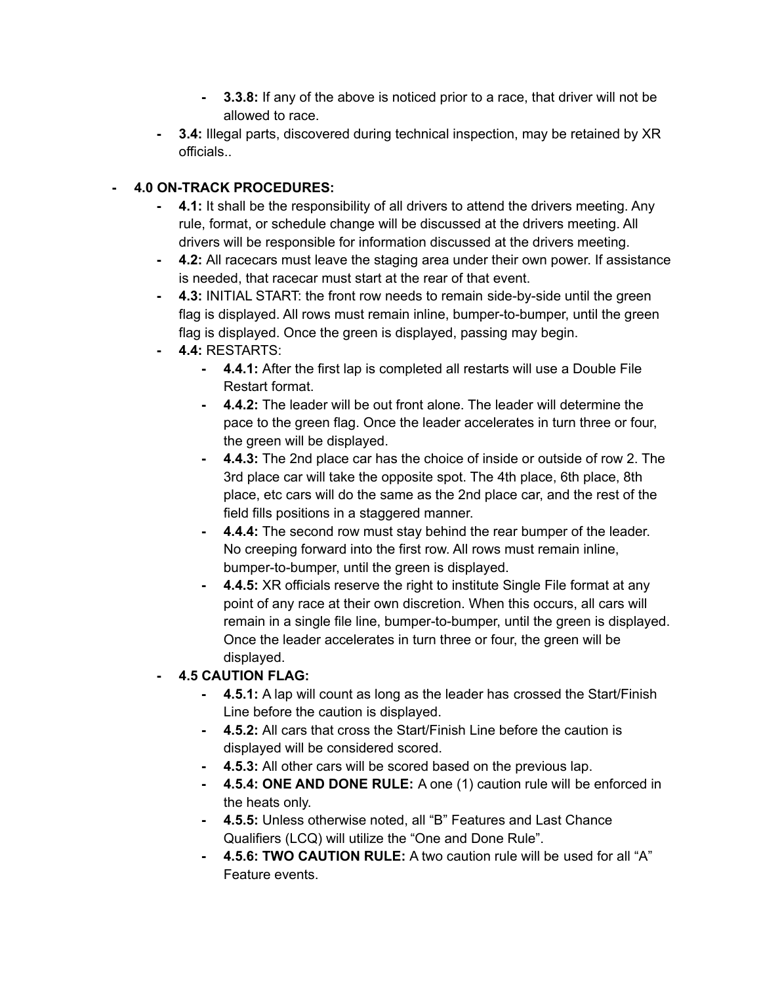- **- 3.3.8:** If any of the above is noticed prior to a race, that driver will not be allowed to race.
- **- 3.4:** Illegal parts, discovered during technical inspection, may be retained by XR officials..

#### **- 4.0 ON-TRACK PROCEDURES:**

- **- 4.1:** It shall be the responsibility of all drivers to attend the drivers meeting. Any rule, format, or schedule change will be discussed at the drivers meeting. All drivers will be responsible for information discussed at the drivers meeting.
- **- 4.2:** All racecars must leave the staging area under their own power. If assistance is needed, that racecar must start at the rear of that event.
- **- 4.3:** INITIAL START: the front row needs to remain side-by-side until the green flag is displayed. All rows must remain inline, bumper-to-bumper, until the green flag is displayed. Once the green is displayed, passing may begin.
- **- 4.4:** RESTARTS:
	- **- 4.4.1:** After the first lap is completed all restarts will use a Double File Restart format.
	- **- 4.4.2:** The leader will be out front alone. The leader will determine the pace to the green flag. Once the leader accelerates in turn three or four, the green will be displayed.
	- **- 4.4.3:** The 2nd place car has the choice of inside or outside of row 2. The 3rd place car will take the opposite spot. The 4th place, 6th place, 8th place, etc cars will do the same as the 2nd place car, and the rest of the field fills positions in a staggered manner.
	- **- 4.4.4:** The second row must stay behind the rear bumper of the leader. No creeping forward into the first row. All rows must remain inline, bumper-to-bumper, until the green is displayed.
	- **- 4.4.5:** XR officials reserve the right to institute Single File format at any point of any race at their own discretion. When this occurs, all cars will remain in a single file line, bumper-to-bumper, until the green is displayed. Once the leader accelerates in turn three or four, the green will be displayed.

## **- 4.5 CAUTION FLAG:**

- **- 4.5.1:** A lap will count as long as the leader has crossed the Start/Finish Line before the caution is displayed.
- **- 4.5.2:** All cars that cross the Start/Finish Line before the caution is displayed will be considered scored.
- **- 4.5.3:** All other cars will be scored based on the previous lap.
- **- 4.5.4: ONE AND DONE RULE:** A one (1) caution rule will be enforced in the heats only.
- **- 4.5.5:** Unless otherwise noted, all "B" Features and Last Chance Qualifiers (LCQ) will utilize the "One and Done Rule".
- **- 4.5.6: TWO CAUTION RULE:** A two caution rule will be used for all "A" Feature events.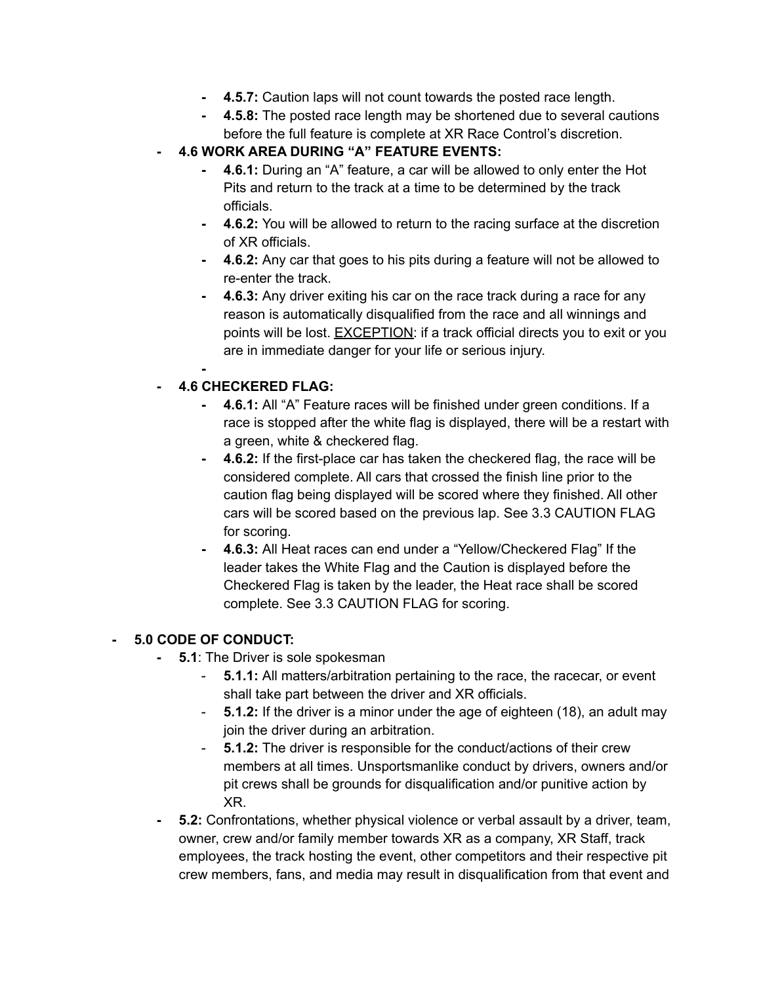- **- 4.5.7:** Caution laps will not count towards the posted race length.
- **- 4.5.8:** The posted race length may be shortened due to several cautions before the full feature is complete at XR Race Control's discretion.
- **- 4.6 WORK AREA DURING "A" FEATURE EVENTS:**
	- **- 4.6.1:** During an "A" feature, a car will be allowed to only enter the Hot Pits and return to the track at a time to be determined by the track officials.
	- **- 4.6.2:** You will be allowed to return to the racing surface at the discretion of XR officials.
	- **- 4.6.2:** Any car that goes to his pits during a feature will not be allowed to re-enter the track.
	- **- 4.6.3:** Any driver exiting his car on the race track during a race for any reason is automatically disqualified from the race and all winnings and points will be lost. EXCEPTION: if a track official directs you to exit or you are in immediate danger for your life or serious injury.

# **- 4.6 CHECKERED FLAG:**

**-**

- **- 4.6.1:** All "A" Feature races will be finished under green conditions. If a race is stopped after the white flag is displayed, there will be a restart with a green, white & checkered flag.
- **- 4.6.2:** If the first-place car has taken the checkered flag, the race will be considered complete. All cars that crossed the finish line prior to the caution flag being displayed will be scored where they finished. All other cars will be scored based on the previous lap. See 3.3 CAUTION FLAG for scoring.
- **- 4.6.3:** All Heat races can end under a "Yellow/Checkered Flag" If the leader takes the White Flag and the Caution is displayed before the Checkered Flag is taken by the leader, the Heat race shall be scored complete. See 3.3 CAUTION FLAG for scoring.

#### **- 5.0 CODE OF CONDUCT:**

- **5.1**: The Driver is sole spokesman
	- **5.1.1:** All matters/arbitration pertaining to the race, the racecar, or event shall take part between the driver and XR officials.
	- **5.1.2:** If the driver is a minor under the age of eighteen (18), an adult may join the driver during an arbitration.
	- **5.1.2:** The driver is responsible for the conduct/actions of their crew members at all times. Unsportsmanlike conduct by drivers, owners and/or pit crews shall be grounds for disqualification and/or punitive action by XR.
- **- 5.2:** Confrontations, whether physical violence or verbal assault by a driver, team, owner, crew and/or family member towards XR as a company, XR Staff, track employees, the track hosting the event, other competitors and their respective pit crew members, fans, and media may result in disqualification from that event and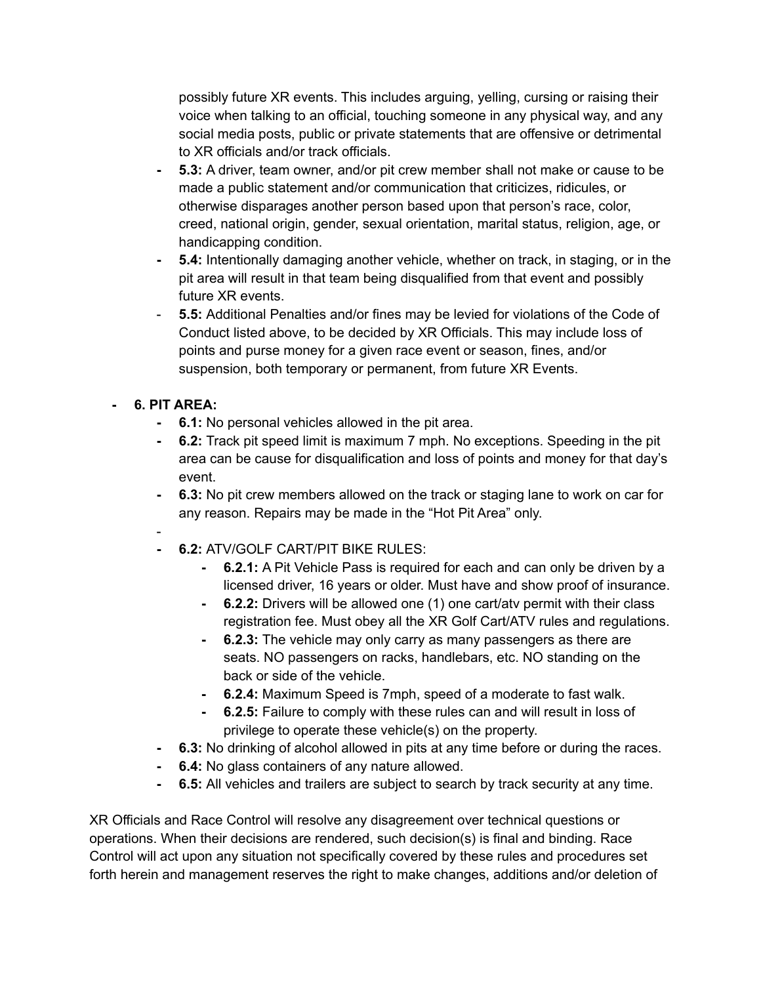possibly future XR events. This includes arguing, yelling, cursing or raising their voice when talking to an official, touching someone in any physical way, and any social media posts, public or private statements that are offensive or detrimental to XR officials and/or track officials.

- **- 5.3:** A driver, team owner, and/or pit crew member shall not make or cause to be made a public statement and/or communication that criticizes, ridicules, or otherwise disparages another person based upon that person's race, color, creed, national origin, gender, sexual orientation, marital status, religion, age, or handicapping condition.
- **- 5.4:** Intentionally damaging another vehicle, whether on track, in staging, or in the pit area will result in that team being disqualified from that event and possibly future XR events.
- **5.5:** Additional Penalties and/or fines may be levied for violations of the Code of Conduct listed above, to be decided by XR Officials. This may include loss of points and purse money for a given race event or season, fines, and/or suspension, both temporary or permanent, from future XR Events.

## **- 6. PIT AREA:**

-

- **- 6.1:** No personal vehicles allowed in the pit area.
- **- 6.2:** Track pit speed limit is maximum 7 mph. No exceptions. Speeding in the pit area can be cause for disqualification and loss of points and money for that day's event.
- **- 6.3:** No pit crew members allowed on the track or staging lane to work on car for any reason. Repairs may be made in the "Hot Pit Area" only.
- **- 6.2:** ATV/GOLF CART/PIT BIKE RULES:
	- **- 6.2.1:** A Pit Vehicle Pass is required for each and can only be driven by a licensed driver, 16 years or older. Must have and show proof of insurance.
	- **- 6.2.2:** Drivers will be allowed one (1) one cart/atv permit with their class registration fee. Must obey all the XR Golf Cart/ATV rules and regulations.
	- **- 6.2.3:** The vehicle may only carry as many passengers as there are seats. NO passengers on racks, handlebars, etc. NO standing on the back or side of the vehicle.
	- **- 6.2.4:** Maximum Speed is 7mph, speed of a moderate to fast walk.
	- **- 6.2.5:** Failure to comply with these rules can and will result in loss of privilege to operate these vehicle(s) on the property.
- **- 6.3:** No drinking of alcohol allowed in pits at any time before or during the races.
- **- 6.4:** No glass containers of any nature allowed.
- **- 6.5:** All vehicles and trailers are subject to search by track security at any time.

XR Officials and Race Control will resolve any disagreement over technical questions or operations. When their decisions are rendered, such decision(s) is final and binding. Race Control will act upon any situation not specifically covered by these rules and procedures set forth herein and management reserves the right to make changes, additions and/or deletion of